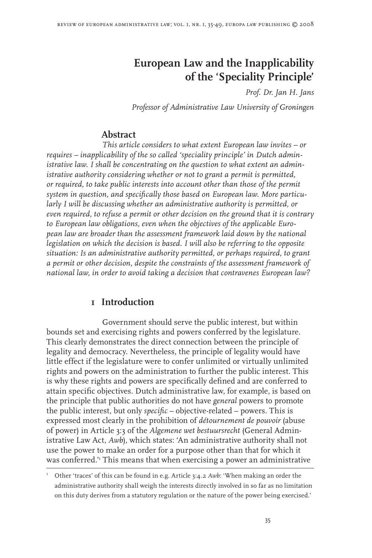# **European Law and the Inapplicability of the 'Speciality Principle'**

*Prof. Dr. Jan H. Jans*

*Professor of Administrative Law University of Groningen*

## **Abstract**

*This article considers to what extent European law invites – or requires – inapplicability of the so called 'speciality principle' in Dutch administrative law. I shall be concentrating on the question to what extent an administrative authority considering whether or not to grant a permit is permitted, or required, to take public interests into account other than those of the permit system in question, and specifically those based on European law. More particularly I will be discussing whether an administrative authority is permitted, or even required, to refuse a permit or other decision on the ground that it is contrary to European law obligations, even when the objectives of the applicable European law are broader than the assessment framework laid down by the national legislation on which the decision is based. I will also be referring to the opposite situation: Is an administrative authority permitted, or perhaps required, to grant a permit or other decision, despite the constraints of the assessment framework of national law, in order to avoid taking a decision that contravenes European law?*

### *I* Introduction

Government should serve the public interest, but within bounds set and exercising rights and powers conferred by the legislature. This clearly demonstrates the direct connection between the principle of legality and democracy. Nevertheless, the principle of legality would have little effect if the legislature were to confer unlimited or virtually unlimited rights and powers on the administration to further the public interest. This is why these rights and powers are specifically defined and are conferred to attain specific objectives. Dutch administrative law, for example, is based on the principle that public authorities do not have *general* powers to promote the public interest, but only *specific* – objective-related – powers. This is expressed most clearly in the prohibition of *détournement de pouvoir* (abuse of power) in Article 3:3 of the *Algemene wet bestuursrecht* (General Administrative Law Act, *Awb*), which states: 'An administrative authority shall not use the power to make an order for a purpose other than that for which it was conferred.' This means that when exercising a power an administrative

I Other 'traces' of this can be found in e.g. Article 3:4.2 *Awb*: 'When making an order the administrative authority shall weigh the interests directly involved in so far as no limitation on this duty derives from a statutory regulation or the nature of the power being exercised.'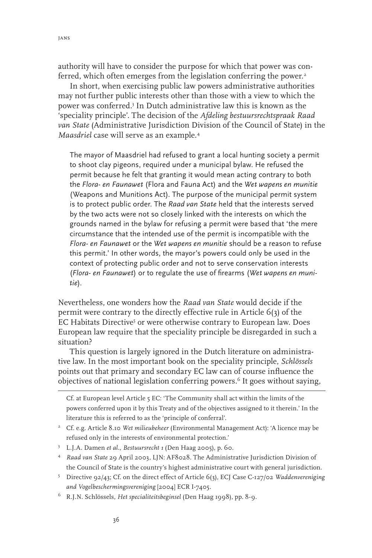authority will have to consider the purpose for which that power was conferred, which often emerges from the legislation conferring the power.

In short, when exercising public law powers administrative authorities may not further public interests other than those with a view to which the power was conferred.<sup>3</sup> In Dutch administrative law this is known as the 'speciality principle'. The decision of the *Afdeling bestuursrechtspraak Raad van State* (Administrative Jurisdiction Division of the Council of State) in the *Maasdriel* case will serve as an example.

The mayor of Maasdriel had refused to grant a local hunting society a permit to shoot clay pigeons, required under a municipal bylaw. He refused the permit because he felt that granting it would mean acting contrary to both the *Flora- en Faunawet* (Flora and Fauna Act) and the *Wet wapens en munitie* (Weapons and Munitions Act). The purpose of the municipal permit system is to protect public order. The *Raad van State* held that the interests served by the two acts were not so closely linked with the interests on which the grounds named in the bylaw for refusing a permit were based that 'the mere circumstance that the intended use of the permit is incompatible with the *Flora- en Faunawet* or the *Wet wapens en munitie* should be a reason to refuse this permit.' In other words, the mayor's powers could only be used in the context of protecting public order and not to serve conservation interests (*Flora- en Faunawet*) or to regulate the use of firearms (*Wet wapens en munitie*).

Nevertheless, one wonders how the *Raad van State* would decide if the permit were contrary to the directly effective rule in Article 6(3) of the EC Habitats Directive<sup>5</sup> or were otherwise contrary to European law. Does European law require that the speciality principle be disregarded in such a situation?

This question is largely ignored in the Dutch literature on administrative law. In the most important book on the speciality principle, *Schlössels* points out that primary and secondary EC law can of course influence the objectives of national legislation conferring powers.<sup>6</sup> It goes without saying,

Cf. at European level Article 5 EC: 'The Community shall act within the limits of the powers conferred upon it by this Treaty and of the objectives assigned to it therein.' In the literature this is referred to as the 'principle of conferral'.

Cf. e.g. Article 8.10 *Wet milieubeheer* (Environmental Management Act): 'A licence may be refused only in the interests of environmental protection.'

L.J.A. Damen *et al.*, *Bestuursrecht 1* (Den Haag 2005), p. 60.

*Raad van State* 29 April 2003, LJN: AF8028. The Administrative Jurisdiction Division of the Council of State is the country's highest administrative court with general jurisdiction.

 Directive 92/43; Cf. on the direct effect of Article 6(3), ECJ Case C-127/02 *Waddenvereniging and Vogelbeschermingsvereniging* [2004] ECR I-7405.

R.J.N. Schlössels, *Het specialiteitsbeginsel* (Den Haag 1998), pp. 8-9.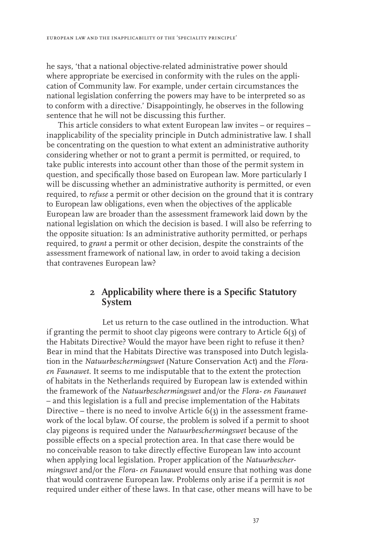he says, 'that a national objective-related administrative power should where appropriate be exercised in conformity with the rules on the application of Community law. For example, under certain circumstances the national legislation conferring the powers may have to be interpreted so as to conform with a directive.' Disappointingly, he observes in the following sentence that he will not be discussing this further.

This article considers to what extent European law invites – or requires – inapplicability of the speciality principle in Dutch administrative law. I shall be concentrating on the question to what extent an administrative authority considering whether or not to grant a permit is permitted, or required, to take public interests into account other than those of the permit system in question, and specifically those based on European law. More particularly I will be discussing whether an administrative authority is permitted, or even required, to *refuse* a permit or other decision on the ground that it is contrary to European law obligations, even when the objectives of the applicable European law are broader than the assessment framework laid down by the national legislation on which the decision is based. I will also be referring to the opposite situation: Is an administrative authority permitted, or perhaps required, to *grant* a permit or other decision, despite the constraints of the assessment framework of national law, in order to avoid taking a decision that contravenes European law?

#### **2 Applicability where there is a Specific Statutory System**

Let us return to the case outlined in the introduction. What if granting the permit to shoot clay pigeons were contrary to Article 6(3) of the Habitats Directive? Would the mayor have been right to refuse it then? Bear in mind that the Habitats Directive was transposed into Dutch legislation in the *Natuurbeschermingswet* (Nature Conservation Act) and the *Floraen Faunawet*. It seems to me indisputable that to the extent the protection of habitats in the Netherlands required by European law is extended within the framework of the *Natuurbeschermingswet* and/or the *Flora- en Faunawet* – and this legislation is a full and precise implementation of the Habitats Directive – there is no need to involve Article  $6(3)$  in the assessment framework of the local bylaw. Of course, the problem is solved if a permit to shoot clay pigeons is required under the *Natuurbeschermingswet* because of the possible effects on a special protection area. In that case there would be no conceivable reason to take directly effective European law into account when applying local legislation. Proper application of the *Natuurbeschermingswet* and/or the *Flora- en Faunawet* would ensure that nothing was done that would contravene European law. Problems only arise if a permit is *not* required under either of these laws. In that case, other means will have to be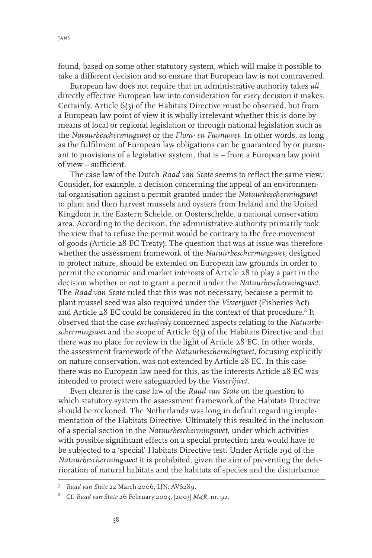found, based on some other statutory system, which will make it possible to take a different decision and so ensure that European law is not contravened.

European law does not require that an administrative authority takes *all*  directly effective European law into consideration for *every* decision it makes. Certainly, Article 6(3) of the Habitats Directive must be observed, but from a European law point of view it is wholly irrelevant whether this is done by means of local or regional legislation or through national legislation such as the *Natuurbeschermingswet* or the *Flora- en Faunawet*. In other words, as long as the fulfilment of European law obligations can be guaranteed by or pursuant to provisions of a legislative system, that is – from a European law point of view – sufficient.

The case law of the Dutch *Raad van State* seems to reflect the same view. Consider, for example, a decision concerning the appeal of an environmental organisation against a permit granted under the *Natuurbeschermingswet* to plant and then harvest mussels and oysters from Ireland and the United Kingdom in the Eastern Schelde, or Oosterschelde, a national conservation area. According to the decision, the administrative authority primarily took the view that to refuse the permit would be contrary to the free movement of goods (Article 28 EC Treaty). The question that was at issue was therefore whether the assessment framework of the *Natuurbeschermingswet*, designed to protect nature, should be extended on European law grounds in order to permit the economic and market interests of Article 28 to play a part in the decision whether or not to grant a permit under the *Natuurbeschermingswet*. The *Raad van State* ruled that this was not necessary, because a permit to plant mussel seed was also required under the *Visserijwet* (Fisheries Act) and Article 28 EC could be considered in the context of that procedure.<sup>8</sup> It observed that the case *exclusively* concerned aspects relating to the *Natuurbeschermingswet* and the scope of Article 6(3) of the Habitats Directive and that there was no place for review in the light of Article 28 EC. In other words, the assessment framework of the *Natuurbeschermingswet*, focusing explicitly on nature conservation, was not extended by Article 28 EC. In this case there was no European law need for this, as the interests Article 28 EC was intended to protect were safeguarded by the *Visserijwet*.

Even clearer is the case law of the *Raad van State* on the question to which statutory system the assessment framework of the Habitats Directive should be reckoned. The Netherlands was long in default regarding implementation of the Habitats Directive. Ultimately this resulted in the inclusion of a special section in the *Natuurbeschermingswet*, under which activities with possible significant effects on a special protection area would have to be subjected to a 'special' Habitats Directive test. Under Article 19d of the *Natuurbeschermingswet* it is prohibited, given the aim of preventing the deterioration of natural habitats and the habitats of species and the disturbance

*Raad van State* 22 March 2006, LJN: AV6289.

Cf. *Raad van State* 26 February 2003, [2003] *M&R*, nr. 92.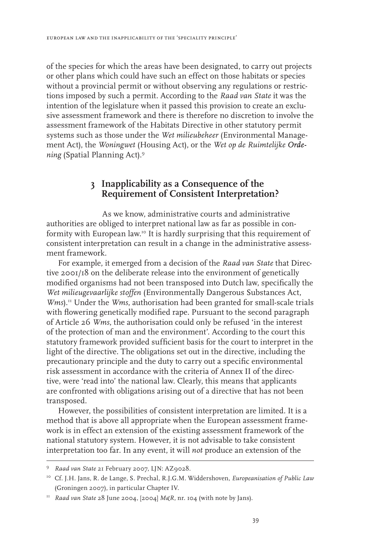of the species for which the areas have been designated, to carry out projects or other plans which could have such an effect on those habitats or species without a provincial permit or without observing any regulations or restrictions imposed by such a permit. According to the *Raad van State* it was the intention of the legislature when it passed this provision to create an exclusive assessment framework and there is therefore no discretion to involve the assessment framework of the Habitats Directive in other statutory permit systems such as those under the *Wet milieubeheer* (Environmental Management Act), the *Woningwet* (Housing Act), or the *Wet op de Ruimtelijke Ordening* (Spatial Planning Act).

### **3 Inapplicability as a Consequence of the Requirement of Consistent Interpretation?**

As we know, administrative courts and administrative authorities are obliged to interpret national law as far as possible in conformity with European law.10 It is hardly surprising that this requirement of consistent interpretation can result in a change in the administrative assessment framework.

For example, it emerged from a decision of the *Raad van State* that Directive 2001/18 on the deliberate release into the environment of genetically modified organisms had not been transposed into Dutch law, specifically the *Wet milieugevaarlijke stoffen* (Environmentally Dangerous Substances Act, *Wms*).11 Under the *Wms*, authorisation had been granted for small-scale trials with flowering genetically modified rape. Pursuant to the second paragraph of Article 26 *Wms*, the authorisation could only be refused 'in the interest of the protection of man and the environment'. According to the court this statutory framework provided sufficient basis for the court to interpret in the light of the directive. The obligations set out in the directive, including the precautionary principle and the duty to carry out a specific environmental risk assessment in accordance with the criteria of Annex II of the directive, were 'read into' the national law. Clearly, this means that applicants are confronted with obligations arising out of a directive that has not been transposed.

However, the possibilities of consistent interpretation are limited. It is a method that is above all appropriate when the European assessment framework is in effect an extension of the existing assessment framework of the national statutory system. However, it is not advisable to take consistent interpretation too far. In any event, it will *not* produce an extension of the

*Raad van State* 21 February 2007, LJN: AZ9028.

<sup>10</sup> Cf. J.H. Jans, R. de Lange, S. Prechal, R.J.G.M. Widdershoven, *Europeanisation of Public Law* (Groningen 2007), in particular Chapter IV.

<sup>11</sup> *Raad van State* 28 June 2004, [2004] *M&R*, nr. 104 (with note by Jans).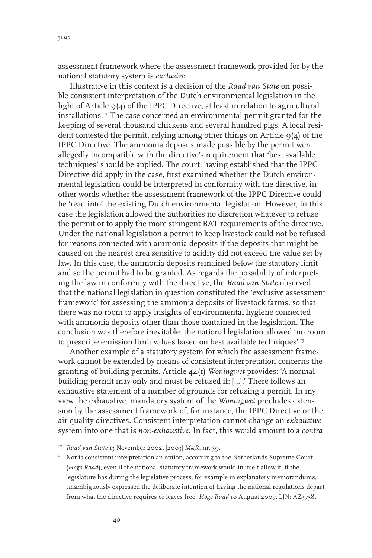assessment framework where the assessment framework provided for by the national statutory system is *exclusive*.

Illustrative in this context is a decision of the *Raad van State* on possible consistent interpretation of the Dutch environmental legislation in the light of Article  $9(4)$  of the IPPC Directive, at least in relation to agricultural installations.12 The case concerned an environmental permit granted for the keeping of several thousand chickens and several hundred pigs. A local resident contested the permit, relying among other things on Article  $q(4)$  of the IPPC Directive. The ammonia deposits made possible by the permit were allegedly incompatible with the directive's requirement that 'best available techniques' should be applied. The court, having established that the IPPC Directive did apply in the case, first examined whether the Dutch environmental legislation could be interpreted in conformity with the directive, in other words whether the assessment framework of the IPPC Directive could be 'read into' the existing Dutch environmental legislation. However, in this case the legislation allowed the authorities no discretion whatever to refuse the permit or to apply the more stringent BAT requirements of the directive. Under the national legislation a permit to keep livestock could not be refused for reasons connected with ammonia deposits if the deposits that might be caused on the nearest area sensitive to acidity did not exceed the value set by law. In this case, the ammonia deposits remained below the statutory limit and so the permit had to be granted. As regards the possibility of interpreting the law in conformity with the directive, the *Raad van State* observed that the national legislation in question constituted the 'exclusive assessment framework' for assessing the ammonia deposits of livestock farms, so that there was no room to apply insights of environmental hygiene connected with ammonia deposits other than those contained in the legislation. The conclusion was therefore inevitable: the national legislation allowed 'no room to prescribe emission limit values based on best available techniques'.<sup>13</sup>

Another example of a statutory system for which the assessment framework cannot be extended by means of consistent interpretation concerns the granting of building permits. Article 44(1) *Woningwet* provides: 'A normal building permit may only and must be refused if: [...].' There follows an exhaustive statement of a number of grounds for refusing a permit. In my view the exhaustive, mandatory system of the *Woningwet* precludes extension by the assessment framework of, for instance, the IPPC Directive or the air quality directives. Consistent interpretation cannot change an *exhaustive* system into one that is *non-exhaustive*. In fact, this would amount to a *contra* 

<sup>12</sup> *Raad van State* 13 November 2002, [2003] *M&R*, nr. 39.

<sup>&</sup>lt;sup>13</sup> Nor is consistent interpretation an option, according to the Netherlands Supreme Court (*Hoge Raad*), even if the national statutory framework would in itself allow it, if the legislature has during the legislative process, for example in explanatory memorandums, unambiguously expressed the deliberate intention of having the national regulations depart from what the directive requires or leaves free. *Hoge Raad* 10 August 2007, LJN: AZ3758.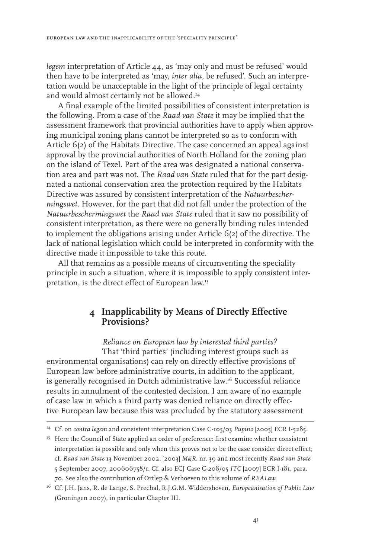*legem* interpretation of Article 44, as 'may only and must be refused' would then have to be interpreted as 'may, *inter alia*, be refused'. Such an interpretation would be unacceptable in the light of the principle of legal certainty and would almost certainly not be allowed.<sup>14</sup>

A final example of the limited possibilities of consistent interpretation is the following. From a case of the *Raad van State* it may be implied that the assessment framework that provincial authorities have to apply when approving municipal zoning plans cannot be interpreted so as to conform with Article 6(2) of the Habitats Directive. The case concerned an appeal against approval by the provincial authorities of North Holland for the zoning plan on the island of Texel. Part of the area was designated a national conservation area and part was not. The *Raad van State* ruled that for the part designated a national conservation area the protection required by the Habitats Directive was assured by consistent interpretation of the *Natuurbeschermingswet*. However, for the part that did not fall under the protection of the *Natuurbeschermingswet* the *Raad van State* ruled that it saw no possibility of consistent interpretation, as there were no generally binding rules intended to implement the obligations arising under Article 6(2) of the directive. The lack of national legislation which could be interpreted in conformity with the directive made it impossible to take this route.

All that remains as a possible means of circumventing the speciality principle in such a situation, where it is impossible to apply consistent interpretation, is the direct effect of European law.15

### **4 Inapplicability by Means of Directly Effective Provisions?**

*Reliance on European law by interested third parties?* That 'third parties' (including interest groups such as environmental organisations) can rely on directly effective provisions of European law before administrative courts, in addition to the applicant, is generally recognised in Dutch administrative law.16 Successful reliance results in annulment of the contested decision. I am aware of no example of case law in which a third party was denied reliance on directly effective European law because this was precluded by the statutory assessment

<sup>15</sup> Here the Council of State applied an order of preference: first examine whether consistent interpretation is possible and only when this proves not to be the case consider direct effect; cf. *Raad van State* 13 November 2002, [2003] *M&R*, nr. 39 and most recently *Raad van State* 5 September 2007, 200606758/1. Cf. also ECJ Case C-208/05 *ITC* [2007] ECR I-181, para. 70. See also the contribution of Ortlep & Verhoeven to this volume of *REALaw*.

<sup>14</sup> Cf. on *contra legem* and consistent interpretation Case C-105/03 *Pupino* [2005] ECR I-5285.

<sup>16</sup> Cf. J.H. Jans, R. de Lange, S. Prechal, R.J.G.M. Widdershoven, *Europeanisation of Public Law* (Groningen 2007), in particular Chapter III.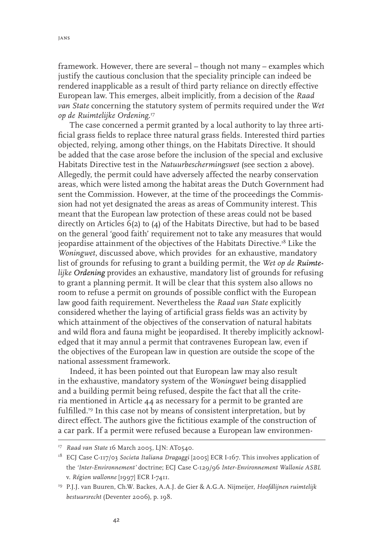framework. However, there are several – though not many – examples which justify the cautious conclusion that the speciality principle can indeed be rendered inapplicable as a result of third party reliance on directly effective European law. This emerges, albeit implicitly, from a decision of the *Raad van State* concerning the statutory system of permits required under the *Wet op de Ruimtelijke Ordening*. 17

The case concerned a permit granted by a local authority to lay three artificial grass fields to replace three natural grass fields. Interested third parties objected, relying, among other things, on the Habitats Directive. It should be added that the case arose before the inclusion of the special and exclusive Habitats Directive test in the *Natuurbeschermingswet* (see section 2 above). Allegedly, the permit could have adversely affected the nearby conservation areas, which were listed among the habitat areas the Dutch Government had sent the Commission. However, at the time of the proceedings the Commission had not yet designated the areas as areas of Community interest. This meant that the European law protection of these areas could not be based directly on Articles 6(2) to (4) of the Habitats Directive, but had to be based on the general 'good faith' requirement not to take any measures that would jeopardise attainment of the objectives of the Habitats Directive.18 Like the *Woningwet*, discussed above, which provides for an exhaustive, mandatory list of grounds for refusing to grant a building permit, the *Wet op de Ruimte*lijke Ordening provides an exhaustive, mandatory list of grounds for refusing to grant a planning permit. It will be clear that this system also allows no room to refuse a permit on grounds of possible conflict with the European law good faith requirement. Nevertheless the *Raad van State* explicitly considered whether the laying of artificial grass fields was an activity by which attainment of the objectives of the conservation of natural habitats and wild flora and fauna might be jeopardised. It thereby implicitly acknowledged that it may annul a permit that contravenes European law, even if the objectives of the European law in question are outside the scope of the national assessment framework.

Indeed, it has been pointed out that European law may also result in the exhaustive, mandatory system of the *Woningwet* being disapplied and a building permit being refused, despite the fact that all the criteria mentioned in Article 44 as necessary for a permit to be granted are fulfilled.19 In this case not by means of consistent interpretation, but by direct effect. The authors give the fictitious example of the construction of a car park. If a permit were refused because a European law environmen-

<sup>&</sup>lt;sup>17</sup> Raad van State 16 March 2005, LJN: AT0540.

<sup>&</sup>lt;sup>18</sup> ECJ Case C-117/03 Societa Italiana Dragaggi [2005] ECR I-167. This involves application of the *'Inter-Environnement'* doctrine; ECJ Case C-129/96 *Inter-Environnement Wallonie ASBL* v. *Région wallonne* [1997] ECR I-7411.

<sup>19</sup> P.J.J. van Buuren, Ch.W. Backes, A.A.J. de Gier & A.G.A. Nijmeijer, *Hoofdlijnen ruimtelijk bestuursrecht* (Deventer 2006), p. 198.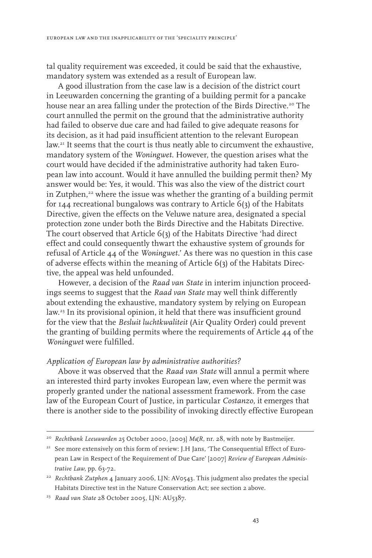tal quality requirement was exceeded, it could be said that the exhaustive, mandatory system was extended as a result of European law.

A good illustration from the case law is a decision of the district court in Leeuwarden concerning the granting of a building permit for a pancake house near an area falling under the protection of the Birds Directive.<sup>20</sup> The court annulled the permit on the ground that the administrative authority had failed to observe due care and had failed to give adequate reasons for its decision, as it had paid insufficient attention to the relevant European law.21 It seems that the court is thus neatly able to circumvent the exhaustive, mandatory system of the *Woningwet*. However, the question arises what the court would have decided if the administrative authority had taken European law into account. Would it have annulled the building permit then? My answer would be: Yes, it would. This was also the view of the district court in Zutphen,<sup>22</sup> where the issue was whether the granting of a building permit for 144 recreational bungalows was contrary to Article 6(3) of the Habitats Directive, given the effects on the Veluwe nature area, designated a special protection zone under both the Birds Directive and the Habitats Directive. The court observed that Article 6(3) of the Habitats Directive 'had direct effect and could consequently thwart the exhaustive system of grounds for refusal of Article 44 of the *Woningwet*.' As there was no question in this case of adverse effects within the meaning of Article 6(3) of the Habitats Directive, the appeal was held unfounded.

However, a decision of the *Raad van State* in interim injunction proceedings seems to suggest that the *Raad van State* may well think differently about extending the exhaustive, mandatory system by relying on European law.23 In its provisional opinion, it held that there was insufficient ground for the view that the *Besluit luchtkwaliteit* (Air Quality Order) could prevent the granting of building permits where the requirements of Article 44 of the *Woningwet* were fulfilled.

#### *Application of European law by administrative authorities?*

Above it was observed that the *Raad van State* will annul a permit where an interested third party invokes European law, even where the permit was properly granted under the national assessment framework. From the case law of the European Court of Justice, in particular *Costanzo*, it emerges that there is another side to the possibility of invoking directly effective European

<sup>20</sup> *Rechtbank Leeuwarden* 25 October 2000, [2003] *M&R*, nr. 28, with note by Bastmeijer.

<sup>&</sup>lt;sup>21</sup> See more extensively on this form of review: J.H Jans, 'The Consequential Effect of European Law in Respect of the Requirement of Due Care' [2007] *Review of European Administrative Law*, pp. 63-72.

<sup>&</sup>lt;sup>22</sup> *Rechtbank Zutphen* 4 January 2006, LJN: AV0543. This judgment also predates the special Habitats Directive test in the Nature Conservation Act; see section 2 above.

<sup>23</sup> *Raad van State* 28 October 2005, LJN: AU5387.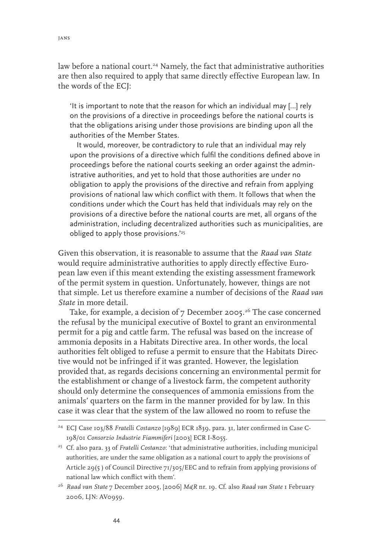law before a national court.<sup>24</sup> Namely, the fact that administrative authorities are then also required to apply that same directly effective European law. In the words of the ECJ:

'It is important to note that the reason for which an individual may […] rely on the provisions of a directive in proceedings before the national courts is that the obligations arising under those provisions are binding upon all the authorities of the Member States.

It would, moreover, be contradictory to rule that an individual may rely upon the provisions of a directive which fulfil the conditions defined above in proceedings before the national courts seeking an order against the administrative authorities, and yet to hold that those authorities are under no obligation to apply the provisions of the directive and refrain from applying provisions of national law which conflict with them. It follows that when the conditions under which the Court has held that individuals may rely on the provisions of a directive before the national courts are met, all organs of the administration, including decentralized authorities such as municipalities, are obliged to apply those provisions.'25

Given this observation, it is reasonable to assume that the *Raad van State* would require administrative authorities to apply directly effective European law even if this meant extending the existing assessment framework of the permit system in question. Unfortunately, however, things are not that simple. Let us therefore examine a number of decisions of the *Raad van State* in more detail.

Take, for example, a decision of 7 December 2005. 26 The case concerned the refusal by the municipal executive of Boxtel to grant an environmental permit for a pig and cattle farm. The refusal was based on the increase of ammonia deposits in a Habitats Directive area. In other words, the local authorities felt obliged to refuse a permit to ensure that the Habitats Directive would not be infringed if it was granted. However, the legislation provided that, as regards decisions concerning an environmental permit for the establishment or change of a livestock farm, the competent authority should only determine the consequences of ammonia emissions from the animals' quarters on the farm in the manner provided for by law. In this case it was clear that the system of the law allowed no room to refuse the

<sup>24</sup> ECJ Case 103/88 *Fratelli Costanzo* [1989] ECR 1839, para. 31, later confirmed in Case C- 198/01 *Consorzio Industrie Fiammiferi* [2003] ECR I-8055.

<sup>25</sup> Cf. also para. 33 of *Fratelli Costanzo*: 'that administrative authorities, including municipal authorities, are under the same obligation as a national court to apply the provisions of Article 29(5 ) of Council Directive 71/305/EEC and to refrain from applying provisions of national law which conflict with them'.

<sup>26</sup> *Raad van State* 7 December 2005, [2006] *M&R* nr. 19. Cf. also *Raad van State* 1 February 2006, LJN: AV0959.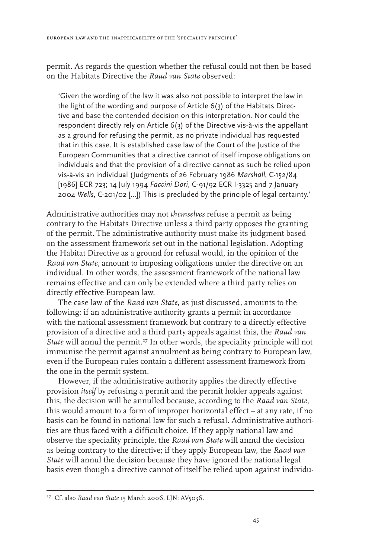permit. As regards the question whether the refusal could not then be based on the Habitats Directive the *Raad van State* observed:

'Given the wording of the law it was also not possible to interpret the law in the light of the wording and purpose of Article 6(3) of the Habitats Directive and base the contended decision on this interpretation. Nor could the respondent directly rely on Article 6(3) of the Directive vis-à-vis the appellant as a ground for refusing the permit, as no private individual has requested that in this case. It is established case law of the Court of the Justice of the European Communities that a directive cannot of itself impose obligations on individuals and that the provision of a directive cannot as such be relied upon vis-à-vis an individual (Judgments of 26 February 1986 *Marshall*, C-152/84 [1986] ECR 723; 14 July 1994 *Faccini Dori*, C-91/92 ECR I-3325 and 7 January 2004 *Wells*, C-201/02 […]) This is precluded by the principle of legal certainty.'

Administrative authorities may not *themselves* refuse a permit as being contrary to the Habitats Directive unless a third party opposes the granting of the permit. The administrative authority must make its judgment based on the assessment framework set out in the national legislation. Adopting the Habitat Directive as a ground for refusal would, in the opinion of the *Raad van State*, amount to imposing obligations under the directive on an individual. In other words, the assessment framework of the national law remains effective and can only be extended where a third party relies on directly effective European law.

The case law of the *Raad van State*, as just discussed, amounts to the following: if an administrative authority grants a permit in accordance with the national assessment framework but contrary to a directly effective provision of a directive and a third party appeals against this, the *Raad van State* will annul the permit.<sup>27</sup> In other words, the speciality principle will not immunise the permit against annulment as being contrary to European law, even if the European rules contain a different assessment framework from the one in the permit system.

However, if the administrative authority applies the directly effective provision *itself* by refusing a permit and the permit holder appeals against this, the decision will be annulled because, according to the *Raad van State*, this would amount to a form of improper horizontal effect – at any rate, if no basis can be found in national law for such a refusal. Administrative authorities are thus faced with a difficult choice. If they apply national law and observe the speciality principle, the *Raad van State* will annul the decision as being contrary to the directive; if they apply European law, the *Raad van State* will annul the decision because they have ignored the national legal basis even though a directive cannot of itself be relied upon against individu-

<sup>&</sup>lt;sup>27</sup> Cf. also *Raad van State* 15 March 2006, LJN: AV5036.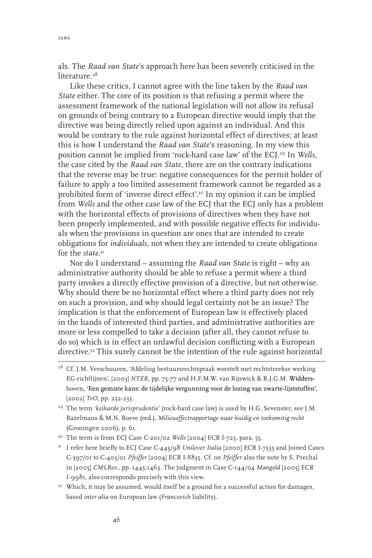als. The *Raad van State*'s approach here has been severely criticised in the  $l$ iterature<sup>28</sup>

Like these critics, I cannot agree with the line taken by the *Raad van State* either. The core of its position is that refusing a permit where the assessment framework of the national legislation will not allow its refusal on grounds of being contrary to a European directive would imply that the directive was being directly relied upon against an individual. And this would be contrary to the rule against horizontal effect of directives; at least this is how I understand the *Raad van State*'s reasoning. In my view this position cannot be implied from 'rock-hard case law' of the ECJ.29 In *Wells*, the case cited by the *Raad van State*, there are on the contrary indications that the reverse may be true: negative consequences for the permit holder of failure to apply a too limited assessment framework cannot be regarded as a prohibited form of 'inverse direct effect'.<sup>30</sup> In my opinion it can be implied from *Wells* and the other case law of the ECJ that the ECJ only has a problem with the horizontal effects of provisions of directives when they have not been properly implemented, and with possible negative effects for individuals when the provisions in question are ones that are intended to create obligations for *individuals*, not when they are intended to create obligations for the *state*. 31

Nor do I understand – assuming the *Raad van State* is right – why an administrative authority should be able to refuse a permit where a third party invokes a directly effective provision of a directive, but not otherwise. Why should there be no horizontal effect where a third party does not rely on such a provision, and why should legal certainty not be an issue? The implication is that the enforcement of European law is effectively placed in the hands of interested third parties, and administrative authorities are more or less compelled to take a decision (after all, they cannot refuse to do so) which is in effect an unlawful decision conflicting with a European directive.32 This surely cannot be the intention of the rule against horizontal

- <sup>28</sup> Cf. J.M. Verschuuren, 'Afdeling bestuursrechtspraak worstelt met rechtstreekse werking EG-richtlijnen', [2003] *NTER*, pp. 75-77 and H.F.M.W. van Rijswick & R.J.G.M. Widdershoven, 'Een gemiste kans: de tijdelijke vergunning voor de lozing van zwarte-lijststoffen', [2002] *TvO*, pp. 232-233.
- <sup>29</sup> The term 'keiharde jurisprudentie' (rock-hard case law) is used by H.G. Sevenster, see J.M. Bazelmans & M.N. Boeve (red.), *Milieueffectrapportage naar huidig en toekomstig recht* (Groningen 2006), p. 61.
- <sup>30</sup> The term is from ECJ Case C-201/02 *Wells* [2004] ECR I-723, para. 55.
- 31 I refer here briefly to ECJ Case C-443/98 *Unilever Italia* [2000] ECR I-7535 and Joined Cases C-397/01 to C-403/01 *Pfeiffer* [2004] ECR I-8835. Cf. on *Pfeiffer* also the note by S. Prechal in [2005] *CMLRev.*, pp. 1445-1463. The judgment in Case C-144/04 *Mangold* [2005] ECR I-9981, also corresponds precisely with this view.
- <sup>32</sup> Which, it may be assumed, would itself be a ground for a successful action for damages, based *inter alia* on European law (*Francovich* liability).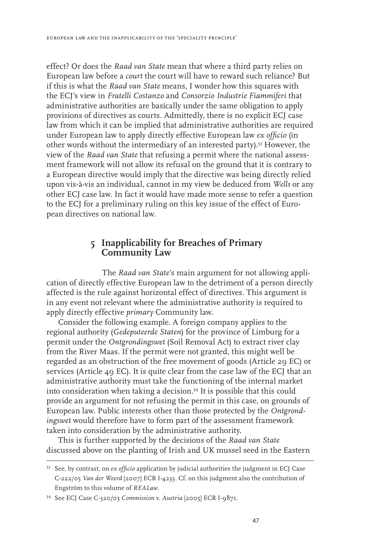effect? Or does the *Raad van State* mean that where a third party relies on European law before a *court* the court will have to reward such reliance? But if this is what the *Raad van State* means, I wonder how this squares with the ECJ's view in *Fratelli Costanzo* and *Consorzio Industrie Fiammiferi* that administrative authorities are basically under the same obligation to apply provisions of directives as courts. Admittedly, there is no explicit ECJ case law from which it can be implied that administrative authorities are required under European law to apply directly effective European law *ex officio* (in other words without the intermediary of an interested party).33 However, the view of the *Raad van State* that refusing a permit where the national assessment framework will not allow its refusal on the ground that it is contrary to a European directive would imply that the directive was being directly relied upon vis-à-vis an individual, cannot in my view be deduced from *Wells* or any other ECJ case law. In fact it would have made more sense to refer a question to the ECJ for a preliminary ruling on this key issue of the effect of European directives on national law.

#### **5 Inapplicability for Breaches of Primary Community Law**

The *Raad van State*'s main argument for not allowing application of directly effective European law to the detriment of a person directly affected is the rule against horizontal effect of directives. This argument is in any event not relevant where the administrative authority is required to apply directly effective *primary* Community law.

Consider the following example. A foreign company applies to the regional authority (*Gedeputeerde Staten*) for the province of Limburg for a permit under the *Ontgrondingswet* (Soil Removal Act) to extract river clay from the River Maas. If the permit were not granted, this might well be regarded as an obstruction of the free movement of goods (Article 29 EC) or services (Article 49 EC). It is quite clear from the case law of the ECJ that an administrative authority must take the functioning of the internal market into consideration when taking a decision.<sup>34</sup> It is possible that this could provide an argument for not refusing the permit in this case, on grounds of European law. Public interests other than those protected by the *Ontgrondingswet* would therefore have to form part of the assessment framework taken into consideration by the administrative authority.

This is further supported by the decisions of the *Raad van State* discussed above on the planting of Irish and UK mussel seed in the Eastern

<sup>33</sup> See, by contrast, on *ex officio* application by judicial authorities the judgment in ECJ Case C-222/05 *Van der Weerd* [2007] ECR I-4233. Cf. on this judgment also the contribution of Engström to this volume of *REALaw*.

<sup>34</sup> See ECJ Case C-320/03 *Commission* v. *Austria* [2005] ECR I-9871.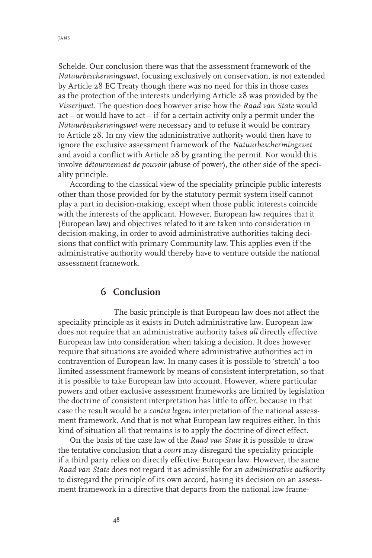Schelde. Our conclusion there was that the assessment framework of the *Natuurbeschermingswet*, focusing exclusively on conservation, is not extended by Article 28 EC Treaty though there was no need for this in those cases as the protection of the interests underlying Article 28 was provided by the *Visserijwet*. The question does however arise how the *Raad van State* would act – or would have to act – if for a certain activity only a permit under the *Natuurbeschermingswet* were necessary and to refuse it would be contrary to Article 28. In my view the administrative authority would then have to ignore the exclusive assessment framework of the *Natuurbeschermingswet* and avoid a conflict with Article 28 by granting the permit. Nor would this involve *détournement de pouvoir* (abuse of power), the other side of the speciality principle.

According to the classical view of the speciality principle public interests other than those provided for by the statutory permit system itself cannot play a part in decision-making, except when those public interests coincide with the interests of the applicant. However, European law requires that it (European law) and objectives related to it are taken into consideration in decision-making, in order to avoid administrative authorities taking decisions that conflict with primary Community law. This applies even if the administrative authority would thereby have to venture outside the national assessment framework.

#### **6** Conclusion

The basic principle is that European law does not affect the speciality principle as it exists in Dutch administrative law. European law does not require that an administrative authority takes *all* directly effective European law into consideration when taking a decision. It does however require that situations are avoided where administrative authorities act in contravention of European law. In many cases it is possible to 'stretch' a too limited assessment framework by means of consistent interpretation, so that it is possible to take European law into account. However, where particular powers and other exclusive assessment frameworks are limited by legislation the doctrine of consistent interpretation has little to offer, because in that case the result would be a *contra legem* interpretation of the national assessment framework. And that is not what European law requires either. In this kind of situation all that remains is to apply the doctrine of direct effect.

On the basis of the case law of the *Raad van State* it is possible to draw the tentative conclusion that a *court* may disregard the speciality principle if a third party relies on directly effective European law. However, the same *Raad van State* does not regard it as admissible for an *administrative authority* to disregard the principle of its own accord, basing its decision on an assessment framework in a directive that departs from the national law frame